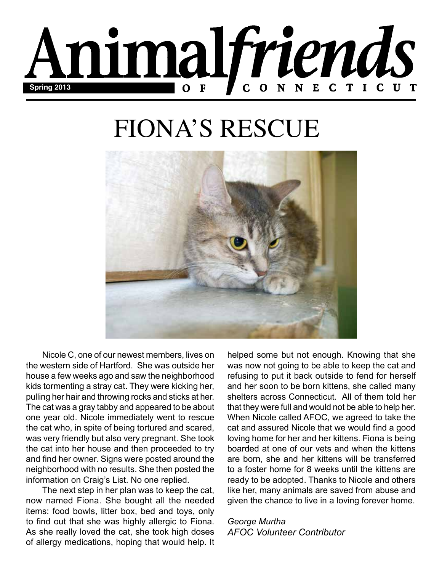

# FIONA'S RESCUE



Nicole C, one of our newest members, lives on the western side of Hartford. She was outside her house a few weeks ago and saw the neighborhood kids tormenting a stray cat. They were kicking her, pulling her hair and throwing rocks and sticks at her. The cat was a gray tabby and appeared to be about one year old. Nicole immediately went to rescue the cat who, in spite of being tortured and scared, was very friendly but also very pregnant. She took the cat into her house and then proceeded to try and find her owner. Signs were posted around the neighborhood with no results. She then posted the information on Craig's List. No one replied.

The next step in her plan was to keep the cat, now named Fiona. She bought all the needed items: food bowls, litter box, bed and toys, only to find out that she was highly allergic to Fiona. As she really loved the cat, she took high doses of allergy medications, hoping that would help. It helped some but not enough. Knowing that she was now not going to be able to keep the cat and refusing to put it back outside to fend for herself and her soon to be born kittens, she called many shelters across Connecticut. All of them told her that they were full and would not be able to help her. When Nicole called AFOC, we agreed to take the cat and assured Nicole that we would find a good loving home for her and her kittens. Fiona is being boarded at one of our vets and when the kittens are born, she and her kittens will be transferred to a foster home for 8 weeks until the kittens are ready to be adopted. Thanks to Nicole and others like her, many animals are saved from abuse and given the chance to live in a loving forever home.

*George Murtha AFOC Volunteer Contributor*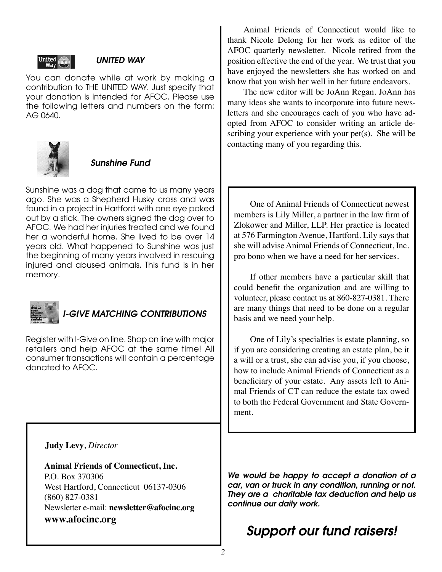

### *UNITED WAY*

You can donate while at work by making a contribution to THE UNITED WAY. Just specify that your donation is intended for AFOC. Please use the following letters and numbers on the form: AG 0640.



### *Sunshine Fund*

Sunshine was a dog that came to us many years ago. She was a Shepherd Husky cross and was found in a project in Hartford with one eye poked out by a stick. The owners signed the dog over to AFOC. We had her injuries treated and we found her a wonderful home. She lived to be over 14 years old. What happened to Sunshine was just the beginning of many years involved in rescuing injured and abused animals. This fund is in her memory.



### *GIVE MATCHING CONTRIBUTIONS*

Register with I-Give on line. Shop on line with major retailers and help AFOC at the same time! All consumer transactions will contain a percentage donated to AFOC.

Animal Friends of Connecticut would like to thank Nicole Delong for her work as editor of the AFOC quarterly newsletter. Nicole retired from the position effective the end of the year. We trust that you have enjoyed the newsletters she has worked on and know that you wish her well in her future endeavors.

The new editor will be JoAnn Regan. JoAnn has many ideas she wants to incorporate into future newsletters and she encourages each of you who have adopted from AFOC to consider writing an article describing your experience with your pet(s). She will be contacting many of you regarding this.

One of Animal Friends of Connecticut newest members is Lily Miller, a partner in the law firm of Zlokower and Miller, LLP. Her practice is located at 576 Farmington Avenue, Hartford. Lily says that she will advise Animal Friends of Connecticut, Inc. pro bono when we have a need for her services.

If other members have a particular skill that could benefit the organization and are willing to volunteer, please contact us at 860-827-0381. There are many things that need to be done on a regular basis and we need your help.

One of Lily's specialties is estate planning, so if you are considering creating an estate plan, be it a will or a trust, she can advise you, if you choose, how to include Animal Friends of Connecticut as a beneficiary of your estate. Any assets left to Animal Friends of CT can reduce the estate tax owed to both the Federal Government and State Government.

### **Judy Levy**, *Director*

**Animal Friends of Connecticut, Inc.** P.O. Box 370306 West Hartford, Connecticut 06137-0306 (860) 827-0381 Newsletter e-mail: **newsletter@afocinc.org www.afocinc.org**

*We would be happy to accept a donation of a car, van or truck in any condition, running or not. They are a charitable tax deduction and help us continue our daily work.*

## *Support our fund raisers!*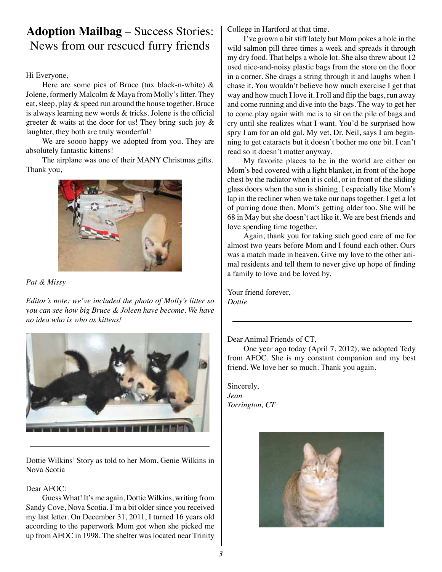### **Adoption Mailbag** – Success Stories: News from our rescued furry friends

Hi Everyone,

Here are some pics of Bruce (tux black-n-white)  $\&$ Jolene, formerly Malcolm & Maya from Molly's litter. They eat, sleep, play & speed run around the house together. Bruce is always learning new words & tricks. Jolene is the official greeter & waits at the door for us! They bring such joy & laughter, they both are truly wonderful!

We are soooo happy we adopted from you. They are absolutely fantastic kittens!

The airplane was one of their MANY Christmas gifts. Thank you,



#### *Pat & Missy*

*Editor's note: we've included the photo of Molly's litter so you can see how big Bruce & Joleen have become. We have no idea who is who as kittens!*



Dottie Wilkins' Story as told to her Mom, Genie Wilkins in Nova Scotia

### Dear AFOC:

Guess What! It's me again, Dottie Wilkins, writing from Sandy Cove, Nova Scotia. I'm a bit older since you received my last letter. On December 31, 2011, I turned 16 years old according to the paperwork Mom got when she picked me up from AFOC in 1998. The shelter was located near Trinity

College in Hartford at that time.

I've grown a bit stiff lately but Mom pokes a hole in the wild salmon pill three times a week and spreads it through my dry food. That helps a whole lot. She also threw about 12 used nice-and-noisy plastic bags from the store on the floor in a corner. She drags a string through it and laughs when I chase it. You wouldn't believe how much exercise I get that way and how much I love it. I roll and flip the bags, run away and come running and dive into the bags. The way to get her to come play again with me is to sit on the pile of bags and cry until she realizes what I want. You'd be surprised how spry I am for an old gal. My vet, Dr. Neil, says I am beginning to get cataracts but it doesn't bother me one bit. I can't read so it doesn't matter anyway.

My favorite places to be in the world are either on Mom's bed covered with a light blanket, in front of the hope chest by the radiator when it is cold, or in front of the sliding glass doors when the sun is shining. I especially like Mom's lap in the recliner when we take our naps together. I get a lot of purring done then. Mom's getting older too. She will be 68 in May but she doesn't act like it. We are best friends and love spending time together.

Again, thank you for taking such good care of me for almost two years before Mom and I found each other. Ours was a match made in heaven. Give my love to the other animal residents and tell them to never give up hope of finding a family to love and be loved by.

Your friend forever, *Dottie*

Dear Animal Friends of CT,

One year ago today (April 7, 2012), we adopted Tedy from AFOC. She is my constant companion and my best friend. We love her so much. Thank you again.

Sincerely, *Jean Torrington, CT*

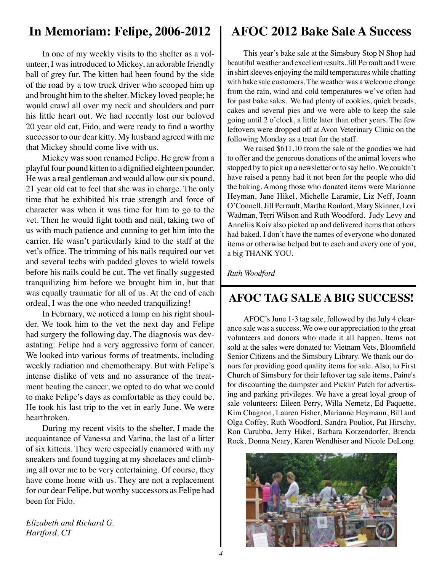### **In Memoriam: Felipe, 2006-2012**

In one of my weekly visits to the shelter as a volunteer, I was introduced to Mickey, an adorable friendly ball of grey fur. The kitten had been found by the side of the road by a tow truck driver who scooped him up and brought him to the shelter. Mickey loved people; he would crawl all over my neck and shoulders and purr his little heart out. We had recently lost our beloved 20 year old cat, Fido, and were ready to find a worthy successor to our dear kitty. My husband agreed with me that Mickey should come live with us.

Mickey was soon renamed Felipe. He grew from a playful four pound kitten to a dignified eighteen pounder. He was a real gentleman and would allow our six pound, 21 year old cat to feel that she was in charge. The only time that he exhibited his true strength and force of character was when it was time for him to go to the vet. Then he would fight tooth and nail, taking two of us with much patience and cunning to get him into the carrier. He wasn't particularly kind to the staff at the vet's office. The trimming of his nails required our vet and several techs with padded gloves to wield towels before his nails could be cut. The vet finally suggested tranquilizing him before we brought him in, but that was equally traumatic for all of us. At the end of each ordeal, I was the one who needed tranquilizing!

In February, we noticed a lump on his right shoulder. We took him to the vet the next day and Felipe had surgery the following day. The diagnosis was devastating: Felipe had a very aggressive form of cancer. We looked into various forms of treatments, including weekly radiation and chemotherapy. But with Felipe's intense dislike of vets and no assurance of the treatment beating the cancer, we opted to do what we could to make Felipe's days as comfortable as they could be. He took his last trip to the vet in early June. We were heartbroken.

During my recent visits to the shelter, I made the acquaintance of Vanessa and Varina, the last of a litter of six kittens. They were especially enamored with my sneakers and found tugging at my shoelaces and climbing all over me to be very entertaining. Of course, they have come home with us. They are not a replacement for our dear Felipe, but worthy successors as Felipe had been for Fido.

*Elizabeth and Richard G. Hartford, CT*

## **AFOC 2012 Bake Sale A Success**

This year's bake sale at the Simsbury Stop N Shop had beautiful weather and excellent results. Jill Perrault and I were in shirt sleeves enjoying the mild temperatures while chatting with bake sale customers. The weather was a welcome change from the rain, wind and cold temperatures we've often had for past bake sales. We had plenty of cookies, quick breads, cakes and several pies and we were able to keep the sale going until 2 o'clock, a little later than other years. The few leftovers were dropped off at Avon Veterinary Clinic on the following Monday as a treat for the staff.

We raised \$611.10 from the sale of the goodies we had to offer and the generous donations of the animal lovers who stopped by to pick up a newsletter or to say hello. We couldn't have raised a penny had it not been for the people who did the baking. Among those who donated items were Marianne Heyman, Jane Hikel, Michelle Laramie, Liz Neff, Joann O'Connell, Jill Perrault, Martha Roulard, Mary Skinner, Lori Wadman, Terri Wilson and Ruth Woodford. Judy Levy and Anneliis Koiv also picked up and delivered items that others had baked. I don't have the names of everyone who donated items or otherwise helped but to each and every one of you, a big THANK YOU.

*Ruth Woodford* 

### **AFOC TAG SALE A BIG SUCCESS!**

AFOC's June 1-3 tag sale, followed by the July 4 clearance sale was a success. We owe our appreciation to the great volunteers and donors who made it all happen. Items not sold at the sales were donated to: Vietnam Vets, Bloomfield Senior Citizens and the Simsbury Library. We thank our donors for providing good quality items for sale. Also, to First Church of Simsbury for their leftover tag sale items, Paine's for discounting the dumpster and Pickin' Patch for advertising and parking privileges. We have a great loyal group of sale volunteers: Eileen Perry, Willa Nemetz, Ed Paquette, Kim Chagnon, Lauren Fisher, Marianne Heymann, Bill and Olga Coffey, Ruth Woodford, Sandra Pouliot, Pat Hirschy, Ron Carubba, Jerry Hikel, Barbara Korzendorfer, Brenda Rock, Donna Neary, Karen Wendhiser and Nicole DeLong.

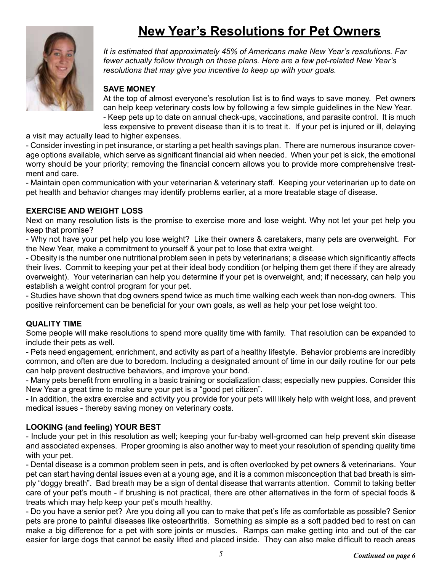# **New Year's Resolutions for Pet Owners**



*It is estimated that approximately 45% of Americans make New Year's resolutions. Far fewer actually follow through on these plans. Here are a few pet-related New Year's resolutions that may give you incentive to keep up with your goals.*

### **SAVE MONEY**

At the top of almost everyone's resolution list is to find ways to save money. Pet owners can help keep veterinary costs low by following a few simple guidelines in the New Year. - Keep pets up to date on annual check-ups, vaccinations, and parasite control. It is much

less expensive to prevent disease than it is to treat it. If your pet is injured or ill, delaying

a visit may actually lead to higher expenses.

- Consider investing in pet insurance, or starting a pet health savings plan. There are numerous insurance coverage options available, which serve as significant financial aid when needed. When your pet is sick, the emotional worry should be your priority; removing the financial concern allows you to provide more comprehensive treatment and care.

- Maintain open communication with your veterinarian & veterinary staff. Keeping your veterinarian up to date on pet health and behavior changes may identify problems earlier, at a more treatable stage of disease.

### **EXERCISE AND WEIGHT LOSS**

Next on many resolution lists is the promise to exercise more and lose weight. Why not let your pet help you keep that promise?

- Why not have your pet help you lose weight? Like their owners & caretakers, many pets are overweight. For the New Year, make a commitment to yourself & your pet to lose that extra weight.

- Obesity is the number one nutritional problem seen in pets by veterinarians; a disease which significantly affects their lives. Commit to keeping your pet at their ideal body condition (or helping them get there if they are already overweight). Your veterinarian can help you determine if your pet is overweight, and; if necessary, can help you establish a weight control program for your pet.

- Studies have shown that dog owners spend twice as much time walking each week than non-dog owners. This positive reinforcement can be beneficial for your own goals, as well as help your pet lose weight too.

### **QUALITY TIME**

Some people will make resolutions to spend more quality time with family. That resolution can be expanded to include their pets as well.

- Pets need engagement, enrichment, and activity as part of a healthy lifestyle. Behavior problems are incredibly common, and often are due to boredom. Including a designated amount of time in our daily routine for our pets can help prevent destructive behaviors, and improve your bond.

- Many pets benefit from enrolling in a basic training or socialization class; especially new puppies. Consider this New Year a great time to make sure your pet is a "good pet citizen".

- In addition, the extra exercise and activity you provide for your pets will likely help with weight loss, and prevent medical issues - thereby saving money on veterinary costs.

### **LOOKING (and feeling) YOUR BEST**

- Include your pet in this resolution as well; keeping your fur-baby well-groomed can help prevent skin disease and associated expenses. Proper grooming is also another way to meet your resolution of spending quality time with your pet.

- Dental disease is a common problem seen in pets, and is often overlooked by pet owners & veterinarians. Your pet can start having dental issues even at a young age, and it is a common misconception that bad breath is simply "doggy breath". Bad breath may be a sign of dental disease that warrants attention. Commit to taking better care of your pet's mouth - if brushing is not practical, there are other alternatives in the form of special foods & treats which may help keep your pet's mouth healthy.

- Do you have a senior pet? Are you doing all you can to make that pet's life as comfortable as possible? Senior pets are prone to painful diseases like osteoarthritis. Something as simple as a soft padded bed to rest on can make a big difference for a pet with sore joints or muscles. Ramps can make getting into and out of the car easier for large dogs that cannot be easily lifted and placed inside. They can also make difficult to reach areas